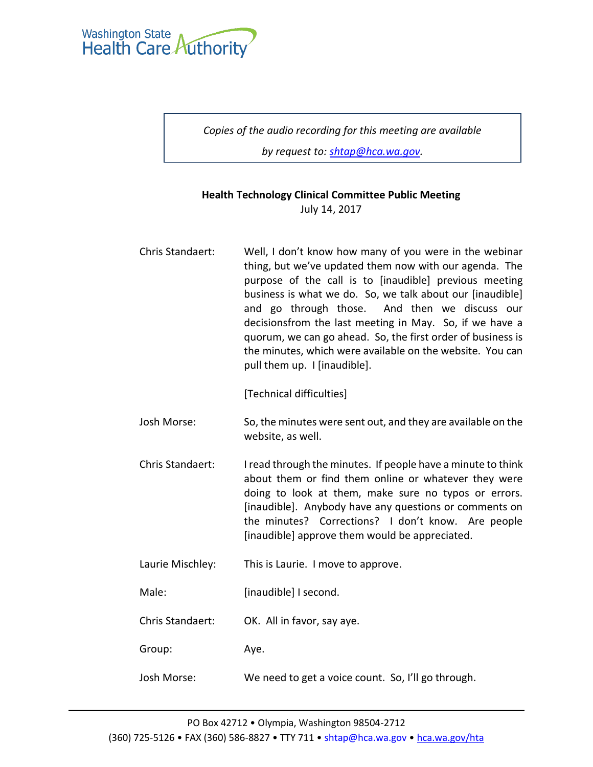

*Copies of the audio recording for this meeting are available* 

*by request to: [shtap@hca.wa.gov.](mailto:shtap@hca.wa.gov)*

## **Health Technology Clinical Committee Public Meeting** July 14, 2017

Chris Standaert: Well, I don't know how many of you were in the webinar thing, but we've updated them now with our agenda. The purpose of the call is to [inaudible] previous meeting business is what we do. So, we talk about our [inaudible] and go through those. And then we discuss our decisionsfrom the last meeting in May. So, if we have a quorum, we can go ahead. So, the first order of business is the minutes, which were available on the website. You can pull them up. I [inaudible].

[Technical difficulties]

- Josh Morse: So, the minutes were sent out, and they are available on the website, as well.
- Chris Standaert: I read through the minutes. If people have a minute to think about them or find them online or whatever they were doing to look at them, make sure no typos or errors. [inaudible]. Anybody have any questions or comments on the minutes? Corrections? I don't know. Are people [inaudible] approve them would be appreciated.
- Laurie Mischley: This is Laurie. I move to approve.

Male: [inaudible] I second.

Chris Standaert: OK. All in favor, say aye.

Group: Aye.

Josh Morse: We need to get a voice count. So, I'll go through.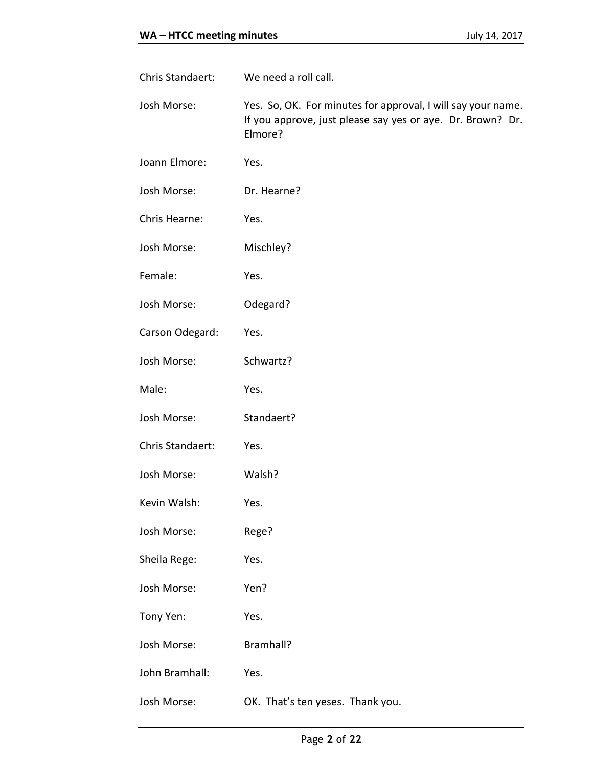| Chris Standaert: | We need a roll call.                                                                                                                  |
|------------------|---------------------------------------------------------------------------------------------------------------------------------------|
| Josh Morse:      | Yes. So, OK. For minutes for approval, I will say your name.<br>If you approve, just please say yes or aye. Dr. Brown? Dr.<br>Elmore? |
| Joann Elmore:    | Yes.                                                                                                                                  |
| Josh Morse:      | Dr. Hearne?                                                                                                                           |
| Chris Hearne:    | Yes.                                                                                                                                  |
| Josh Morse:      | Mischley?                                                                                                                             |
| Female:          | Yes.                                                                                                                                  |
| Josh Morse:      | Odegard?                                                                                                                              |
| Carson Odegard:  | Yes.                                                                                                                                  |
| Josh Morse:      | Schwartz?                                                                                                                             |
| Male:            | Yes.                                                                                                                                  |
| Josh Morse:      | Standaert?                                                                                                                            |
| Chris Standaert: | Yes.                                                                                                                                  |
| Josh Morse:      | Walsh?                                                                                                                                |
| Kevin Walsh:     | Yes.                                                                                                                                  |
| Josh Morse:      | Rege?                                                                                                                                 |
| Sheila Rege:     | Yes.                                                                                                                                  |
| Josh Morse:      | Yen?                                                                                                                                  |
| Tony Yen:        | Yes.                                                                                                                                  |
| Josh Morse:      | Bramhall?                                                                                                                             |
| John Bramhall:   | Yes.                                                                                                                                  |
| Josh Morse:      | OK. That's ten yeses. Thank you.                                                                                                      |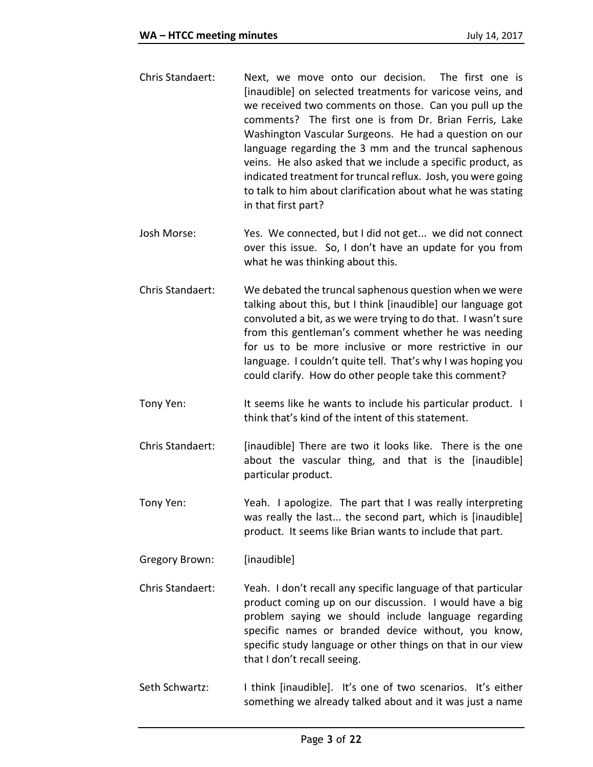- Chris Standaert: Next, we move onto our decision. The first one is [inaudible] on selected treatments for varicose veins, and we received two comments on those. Can you pull up the comments? The first one is from Dr. Brian Ferris, Lake Washington Vascular Surgeons. He had a question on our language regarding the 3 mm and the truncal saphenous veins. He also asked that we include a specific product, as indicated treatment for truncal reflux. Josh, you were going to talk to him about clarification about what he was stating in that first part?
- Josh Morse: Yes. We connected, but I did not get... we did not connect over this issue. So, I don't have an update for you from what he was thinking about this.
- Chris Standaert: We debated the truncal saphenous question when we were talking about this, but I think [inaudible] our language got convoluted a bit, as we were trying to do that. I wasn't sure from this gentleman's comment whether he was needing for us to be more inclusive or more restrictive in our language. I couldn't quite tell. That's why I was hoping you could clarify. How do other people take this comment?
- Tony Yen: It seems like he wants to include his particular product. I think that's kind of the intent of this statement.
- Chris Standaert: [inaudible] There are two it looks like. There is the one about the vascular thing, and that is the [inaudible] particular product.
- Tony Yen: Yeah. I apologize. The part that I was really interpreting was really the last... the second part, which is [inaudible] product. It seems like Brian wants to include that part.
- Gregory Brown: [inaudible]
- Chris Standaert: Yeah. I don't recall any specific language of that particular product coming up on our discussion. I would have a big problem saying we should include language regarding specific names or branded device without, you know, specific study language or other things on that in our view that I don't recall seeing.
- Seth Schwartz: I think [inaudible]. It's one of two scenarios. It's either something we already talked about and it was just a name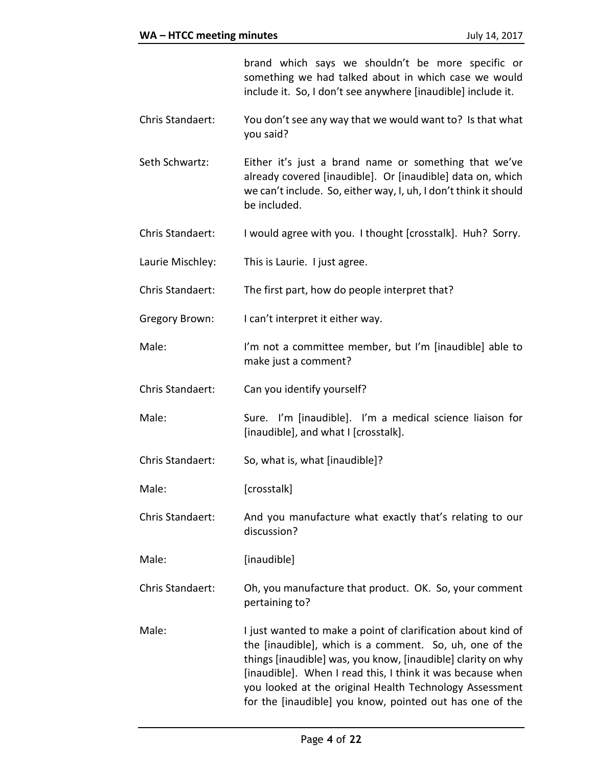brand which says we shouldn't be more specific or something we had talked about in which case we would include it. So, I don't see anywhere [inaudible] include it.

- Chris Standaert: You don't see any way that we would want to? Is that what you said?
- Seth Schwartz: Either it's just a brand name or something that we've already covered [inaudible]. Or [inaudible] data on, which we can't include. So, either way, I, uh, I don't think it should be included.
- Chris Standaert: I would agree with you. I thought [crosstalk]. Huh? Sorry.
- Laurie Mischley: This is Laurie. I just agree.
- Chris Standaert: The first part, how do people interpret that?
- Gregory Brown: I can't interpret it either way.
- Male: I'm not a committee member, but I'm [inaudible] able to make just a comment?
- Chris Standaert: Can you identify yourself?
- Male: Sure. I'm [inaudible]. I'm a medical science liaison for [inaudible], and what I [crosstalk].
- Chris Standaert: So, what is, what [inaudible]?
- Male: [crosstalk]
- Chris Standaert: And you manufacture what exactly that's relating to our discussion?
- Male: [inaudible]
- Chris Standaert: Oh, you manufacture that product. OK. So, your comment pertaining to?
- Male: I just wanted to make a point of clarification about kind of the [inaudible], which is a comment. So, uh, one of the things [inaudible] was, you know, [inaudible] clarity on why [inaudible]. When I read this, I think it was because when you looked at the original Health Technology Assessment for the [inaudible] you know, pointed out has one of the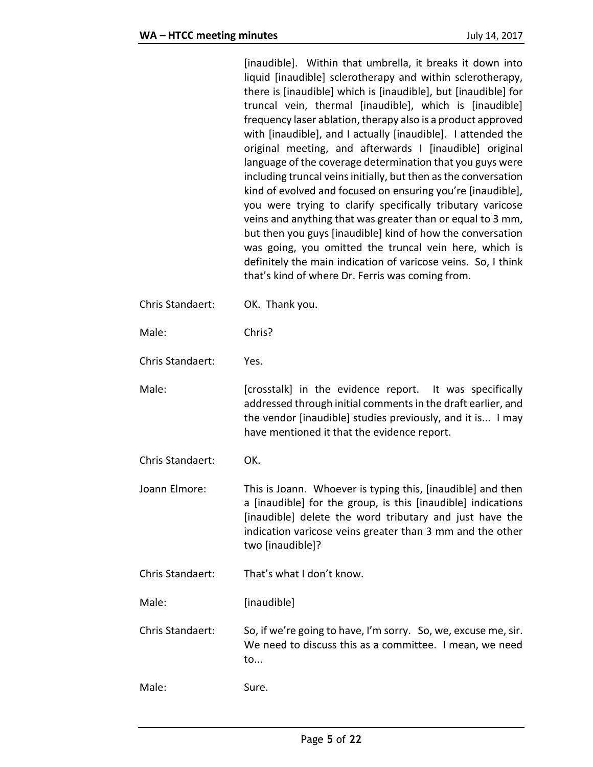|                  | [inaudible]. Within that umbrella, it breaks it down into<br>liquid [inaudible] sclerotherapy and within sclerotherapy,<br>there is [inaudible] which is [inaudible], but [inaudible] for<br>truncal vein, thermal [inaudible], which is [inaudible]<br>frequency laser ablation, therapy also is a product approved<br>with [inaudible], and I actually [inaudible]. I attended the<br>original meeting, and afterwards I [inaudible] original<br>language of the coverage determination that you guys were<br>including truncal veins initially, but then as the conversation<br>kind of evolved and focused on ensuring you're [inaudible],<br>you were trying to clarify specifically tributary varicose<br>veins and anything that was greater than or equal to 3 mm,<br>but then you guys [inaudible] kind of how the conversation<br>was going, you omitted the truncal vein here, which is<br>definitely the main indication of varicose veins. So, I think<br>that's kind of where Dr. Ferris was coming from. |
|------------------|-------------------------------------------------------------------------------------------------------------------------------------------------------------------------------------------------------------------------------------------------------------------------------------------------------------------------------------------------------------------------------------------------------------------------------------------------------------------------------------------------------------------------------------------------------------------------------------------------------------------------------------------------------------------------------------------------------------------------------------------------------------------------------------------------------------------------------------------------------------------------------------------------------------------------------------------------------------------------------------------------------------------------|
| Chris Standaert: | OK. Thank you.                                                                                                                                                                                                                                                                                                                                                                                                                                                                                                                                                                                                                                                                                                                                                                                                                                                                                                                                                                                                          |
| Male:            | Chris?                                                                                                                                                                                                                                                                                                                                                                                                                                                                                                                                                                                                                                                                                                                                                                                                                                                                                                                                                                                                                  |
| Chris Standaert: | Yes.                                                                                                                                                                                                                                                                                                                                                                                                                                                                                                                                                                                                                                                                                                                                                                                                                                                                                                                                                                                                                    |
| Male:            | [crosstalk] in the evidence report. It was specifically<br>addressed through initial comments in the draft earlier, and<br>the vendor [inaudible] studies previously, and it is I may<br>have mentioned it that the evidence report.                                                                                                                                                                                                                                                                                                                                                                                                                                                                                                                                                                                                                                                                                                                                                                                    |
| Chris Standaert: | OK.                                                                                                                                                                                                                                                                                                                                                                                                                                                                                                                                                                                                                                                                                                                                                                                                                                                                                                                                                                                                                     |
| Joann Elmore:    | This is Joann. Whoever is typing this, [inaudible] and then<br>a [inaudible] for the group, is this [inaudible] indications<br>[inaudible] delete the word tributary and just have the<br>indication varicose veins greater than 3 mm and the other<br>two [inaudible]?                                                                                                                                                                                                                                                                                                                                                                                                                                                                                                                                                                                                                                                                                                                                                 |
| Chris Standaert: | That's what I don't know.                                                                                                                                                                                                                                                                                                                                                                                                                                                                                                                                                                                                                                                                                                                                                                                                                                                                                                                                                                                               |
| Male:            | [inaudible]                                                                                                                                                                                                                                                                                                                                                                                                                                                                                                                                                                                                                                                                                                                                                                                                                                                                                                                                                                                                             |
| Chris Standaert: | So, if we're going to have, I'm sorry. So, we, excuse me, sir.<br>We need to discuss this as a committee. I mean, we need<br>to                                                                                                                                                                                                                                                                                                                                                                                                                                                                                                                                                                                                                                                                                                                                                                                                                                                                                         |
| Male:            | Sure.                                                                                                                                                                                                                                                                                                                                                                                                                                                                                                                                                                                                                                                                                                                                                                                                                                                                                                                                                                                                                   |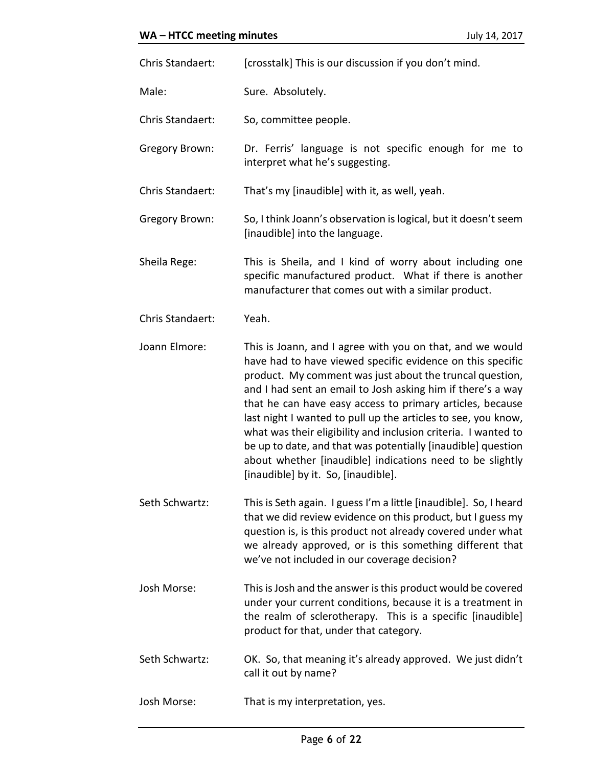| Chris Standaert: | [crosstalk] This is our discussion if you don't mind.                                                                                                                                                                                                                                                                                                                                                                                                                                                                                                                                                                  |
|------------------|------------------------------------------------------------------------------------------------------------------------------------------------------------------------------------------------------------------------------------------------------------------------------------------------------------------------------------------------------------------------------------------------------------------------------------------------------------------------------------------------------------------------------------------------------------------------------------------------------------------------|
| Male:            | Sure. Absolutely.                                                                                                                                                                                                                                                                                                                                                                                                                                                                                                                                                                                                      |
| Chris Standaert: | So, committee people.                                                                                                                                                                                                                                                                                                                                                                                                                                                                                                                                                                                                  |
| Gregory Brown:   | Dr. Ferris' language is not specific enough for me to<br>interpret what he's suggesting.                                                                                                                                                                                                                                                                                                                                                                                                                                                                                                                               |
| Chris Standaert: | That's my [inaudible] with it, as well, yeah.                                                                                                                                                                                                                                                                                                                                                                                                                                                                                                                                                                          |
| Gregory Brown:   | So, I think Joann's observation is logical, but it doesn't seem<br>[inaudible] into the language.                                                                                                                                                                                                                                                                                                                                                                                                                                                                                                                      |
| Sheila Rege:     | This is Sheila, and I kind of worry about including one<br>specific manufactured product. What if there is another<br>manufacturer that comes out with a similar product.                                                                                                                                                                                                                                                                                                                                                                                                                                              |
| Chris Standaert: | Yeah.                                                                                                                                                                                                                                                                                                                                                                                                                                                                                                                                                                                                                  |
| Joann Elmore:    | This is Joann, and I agree with you on that, and we would<br>have had to have viewed specific evidence on this specific<br>product. My comment was just about the truncal question,<br>and I had sent an email to Josh asking him if there's a way<br>that he can have easy access to primary articles, because<br>last night I wanted to pull up the articles to see, you know,<br>what was their eligibility and inclusion criteria. I wanted to<br>be up to date, and that was potentially [inaudible] question<br>about whether [inaudible] indications need to be slightly<br>[inaudible] by it. So, [inaudible]. |
| Seth Schwartz:   | This is Seth again. I guess I'm a little [inaudible]. So, I heard<br>that we did review evidence on this product, but I guess my<br>question is, is this product not already covered under what<br>we already approved, or is this something different that<br>we've not included in our coverage decision?                                                                                                                                                                                                                                                                                                            |
| Josh Morse:      | This is Josh and the answer is this product would be covered<br>under your current conditions, because it is a treatment in<br>the realm of sclerotherapy. This is a specific [inaudible]<br>product for that, under that category.                                                                                                                                                                                                                                                                                                                                                                                    |
| Seth Schwartz:   | OK. So, that meaning it's already approved. We just didn't<br>call it out by name?                                                                                                                                                                                                                                                                                                                                                                                                                                                                                                                                     |
| Josh Morse:      | That is my interpretation, yes.                                                                                                                                                                                                                                                                                                                                                                                                                                                                                                                                                                                        |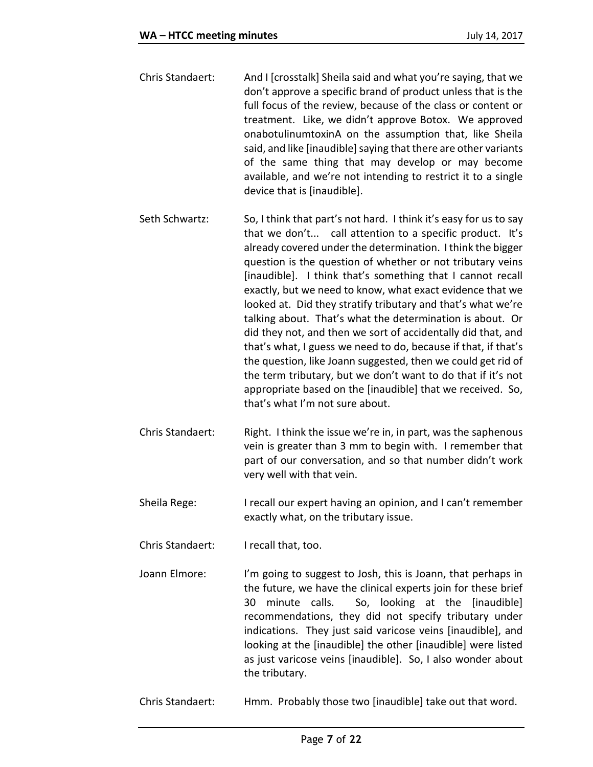- Chris Standaert: And I [crosstalk] Sheila said and what you're saying, that we don't approve a specific brand of product unless that is the full focus of the review, because of the class or content or treatment. Like, we didn't approve Botox. We approved onabotulinumtoxinA on the assumption that, like Sheila said, and like [inaudible] saying that there are other variants of the same thing that may develop or may become available, and we're not intending to restrict it to a single device that is [inaudible].
- Seth Schwartz: So, I think that part's not hard. I think it's easy for us to say that we don't... call attention to a specific product. It's already covered under the determination. I think the bigger question is the question of whether or not tributary veins [inaudible]. I think that's something that I cannot recall exactly, but we need to know, what exact evidence that we looked at. Did they stratify tributary and that's what we're talking about. That's what the determination is about. Or did they not, and then we sort of accidentally did that, and that's what, I guess we need to do, because if that, if that's the question, like Joann suggested, then we could get rid of the term tributary, but we don't want to do that if it's not appropriate based on the [inaudible] that we received. So, that's what I'm not sure about.
- Chris Standaert: Right. I think the issue we're in, in part, was the saphenous vein is greater than 3 mm to begin with. I remember that part of our conversation, and so that number didn't work very well with that vein.
- Sheila Rege: I recall our expert having an opinion, and I can't remember exactly what, on the tributary issue.
- Chris Standaert: I recall that, too.
- Joann Elmore: I'm going to suggest to Josh, this is Joann, that perhaps in the future, we have the clinical experts join for these brief 30 minute calls. So, looking at the [inaudible] recommendations, they did not specify tributary under indications. They just said varicose veins [inaudible], and looking at the [inaudible] the other [inaudible] were listed as just varicose veins [inaudible]. So, I also wonder about the tributary.
- Chris Standaert: Hmm. Probably those two [inaudible] take out that word.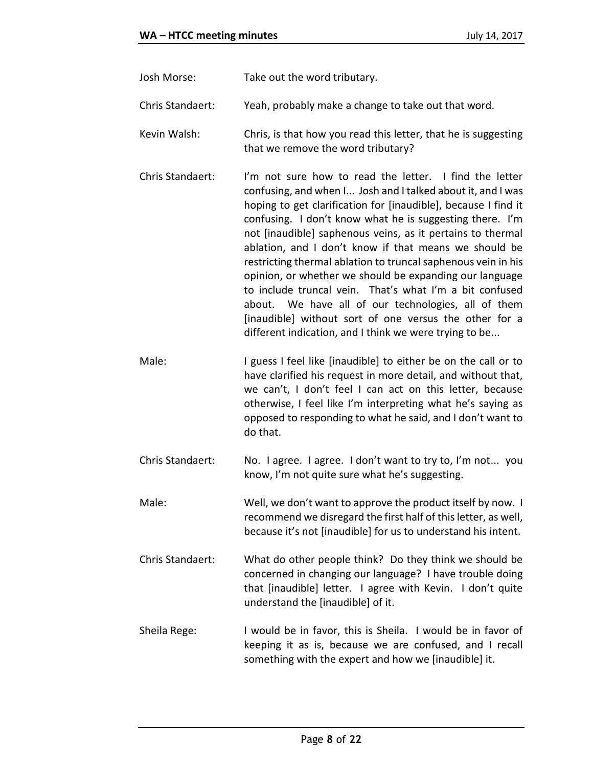- Josh Morse: Take out the word tributary.
- Chris Standaert: Yeah, probably make a change to take out that word.
- Kevin Walsh: Chris, is that how you read this letter, that he is suggesting that we remove the word tributary?
- Chris Standaert: I'm not sure how to read the letter. I find the letter confusing, and when I... Josh and I talked about it, and I was hoping to get clarification for [inaudible], because I find it confusing. I don't know what he is suggesting there. I'm not [inaudible] saphenous veins, as it pertains to thermal ablation, and I don't know if that means we should be restricting thermal ablation to truncal saphenous vein in his opinion, or whether we should be expanding our language to include truncal vein. That's what I'm a bit confused about. We have all of our technologies, all of them [inaudible] without sort of one versus the other for a different indication, and I think we were trying to be...
- Male: I guess I feel like [inaudible] to either be on the call or to have clarified his request in more detail, and without that, we can't, I don't feel I can act on this letter, because otherwise, I feel like I'm interpreting what he's saying as opposed to responding to what he said, and I don't want to do that.
- Chris Standaert: No. I agree. I agree. I don't want to try to, I'm not... you know, I'm not quite sure what he's suggesting.
- Male: Well, we don't want to approve the product itself by now. I recommend we disregard the first half of this letter, as well, because it's not [inaudible] for us to understand his intent.
- Chris Standaert: What do other people think? Do they think we should be concerned in changing our language? I have trouble doing that [inaudible] letter. I agree with Kevin. I don't quite understand the [inaudible] of it.
- Sheila Rege: I would be in favor, this is Sheila. I would be in favor of keeping it as is, because we are confused, and I recall something with the expert and how we [inaudible] it.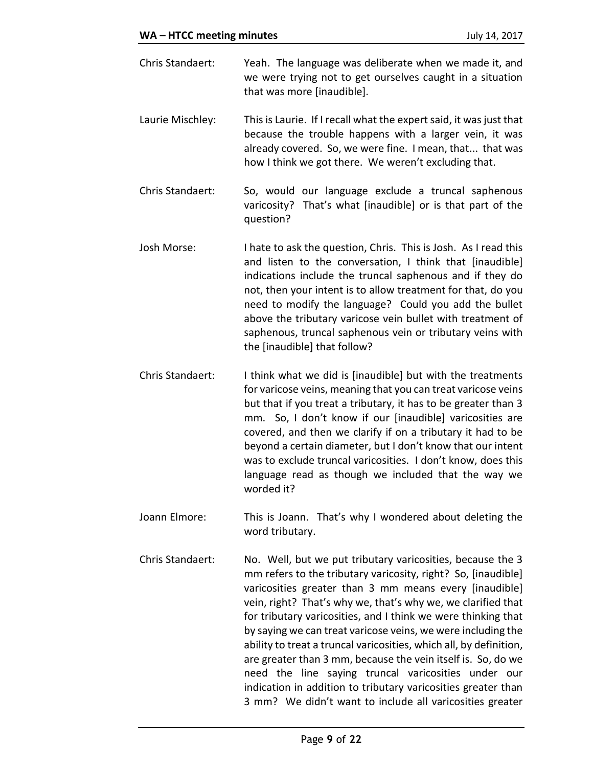- Chris Standaert: Yeah. The language was deliberate when we made it, and we were trying not to get ourselves caught in a situation that was more [inaudible].
- Laurie Mischley: This is Laurie. If I recall what the expert said, it was just that because the trouble happens with a larger vein, it was already covered. So, we were fine. I mean, that... that was how I think we got there. We weren't excluding that.
- Chris Standaert: So, would our language exclude a truncal saphenous varicosity? That's what [inaudible] or is that part of the question?
- Josh Morse: I hate to ask the question, Chris. This is Josh. As I read this and listen to the conversation, I think that [inaudible] indications include the truncal saphenous and if they do not, then your intent is to allow treatment for that, do you need to modify the language? Could you add the bullet above the tributary varicose vein bullet with treatment of saphenous, truncal saphenous vein or tributary veins with the [inaudible] that follow?
- Chris Standaert: I think what we did is [inaudible] but with the treatments for varicose veins, meaning that you can treat varicose veins but that if you treat a tributary, it has to be greater than 3 mm. So, I don't know if our [inaudible] varicosities are covered, and then we clarify if on a tributary it had to be beyond a certain diameter, but I don't know that our intent was to exclude truncal varicosities. I don't know, does this language read as though we included that the way we worded it?
- Joann Elmore: This is Joann. That's why I wondered about deleting the word tributary.
- Chris Standaert: No. Well, but we put tributary varicosities, because the 3 mm refers to the tributary varicosity, right? So, [inaudible] varicosities greater than 3 mm means every [inaudible] vein, right? That's why we, that's why we, we clarified that for tributary varicosities, and I think we were thinking that by saying we can treat varicose veins, we were including the ability to treat a truncal varicosities, which all, by definition, are greater than 3 mm, because the vein itself is. So, do we need the line saying truncal varicosities under our indication in addition to tributary varicosities greater than 3 mm? We didn't want to include all varicosities greater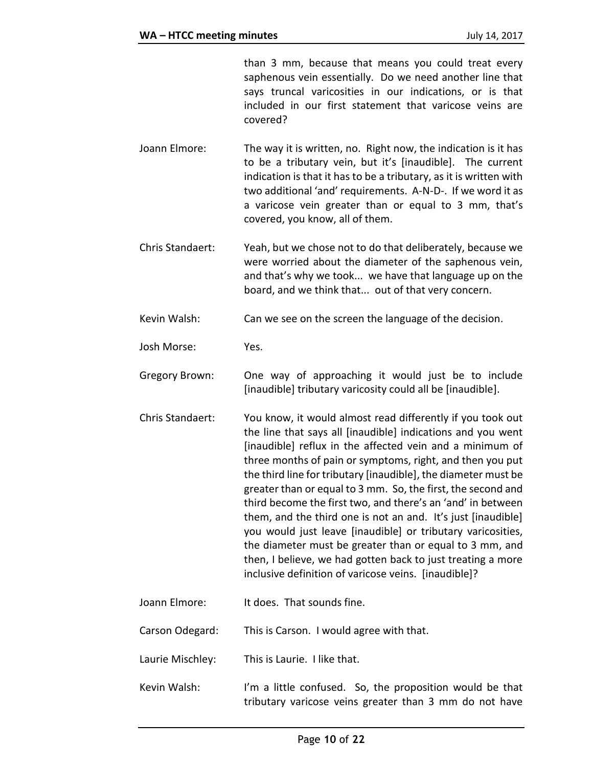than 3 mm, because that means you could treat every saphenous vein essentially. Do we need another line that says truncal varicosities in our indications, or is that included in our first statement that varicose veins are covered?

- Joann Elmore: The way it is written, no. Right now, the indication is it has to be a tributary vein, but it's [inaudible]. The current indication is that it has to be a tributary, as it is written with two additional 'and' requirements. A-N-D-. If we word it as a varicose vein greater than or equal to 3 mm, that's covered, you know, all of them.
- Chris Standaert: Yeah, but we chose not to do that deliberately, because we were worried about the diameter of the saphenous vein, and that's why we took... we have that language up on the board, and we think that... out of that very concern.
- Kevin Walsh: Can we see on the screen the language of the decision.
- Josh Morse: Yes.
- Gregory Brown: One way of approaching it would just be to include [inaudible] tributary varicosity could all be [inaudible].
- Chris Standaert: You know, it would almost read differently if you took out the line that says all [inaudible] indications and you went [inaudible] reflux in the affected vein and a minimum of three months of pain or symptoms, right, and then you put the third line for tributary [inaudible], the diameter must be greater than or equal to 3 mm. So, the first, the second and third become the first two, and there's an 'and' in between them, and the third one is not an and. It's just [inaudible] you would just leave [inaudible] or tributary varicosities, the diameter must be greater than or equal to 3 mm, and then, I believe, we had gotten back to just treating a more inclusive definition of varicose veins. [inaudible]?
- Joann Elmore: It does. That sounds fine.
- Carson Odegard: This is Carson. I would agree with that.
- Laurie Mischley: This is Laurie. I like that.
- Kevin Walsh: I'm a little confused. So, the proposition would be that tributary varicose veins greater than 3 mm do not have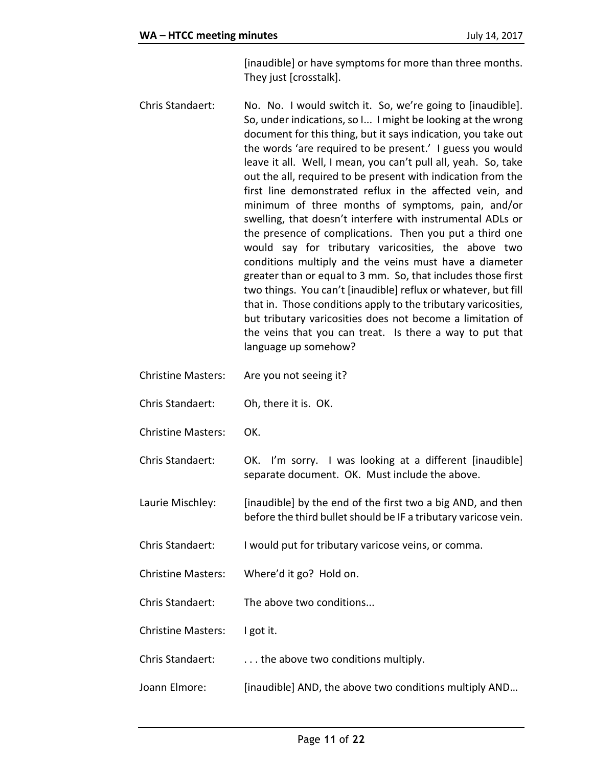[inaudible] or have symptoms for more than three months. They just [crosstalk].

- Chris Standaert: No. No. I would switch it. So, we're going to [inaudible]. So, under indications, so I... I might be looking at the wrong document for this thing, but it says indication, you take out the words 'are required to be present.' I guess you would leave it all. Well, I mean, you can't pull all, yeah. So, take out the all, required to be present with indication from the first line demonstrated reflux in the affected vein, and minimum of three months of symptoms, pain, and/or swelling, that doesn't interfere with instrumental ADLs or the presence of complications. Then you put a third one would say for tributary varicosities, the above two conditions multiply and the veins must have a diameter greater than or equal to 3 mm. So, that includes those first two things. You can't [inaudible] reflux or whatever, but fill that in. Those conditions apply to the tributary varicosities, but tributary varicosities does not become a limitation of the veins that you can treat. Is there a way to put that language up somehow?
- Christine Masters: Are you not seeing it?
- Chris Standaert: Oh, there it is. OK.
- Christine Masters: OK.
- Chris Standaert: OK. I'm sorry. I was looking at a different [inaudible] separate document. OK. Must include the above.
- Laurie Mischley: [inaudible] by the end of the first two a big AND, and then before the third bullet should be IF a tributary varicose vein.
- Chris Standaert: I would put for tributary varicose veins, or comma.
- Christine Masters: Where'd it go? Hold on.
- Chris Standaert: The above two conditions...
- Christine Masters: I got it.
- Chris Standaert: . . . the above two conditions multiply.
- Joann Elmore: [inaudible] AND, the above two conditions multiply AND...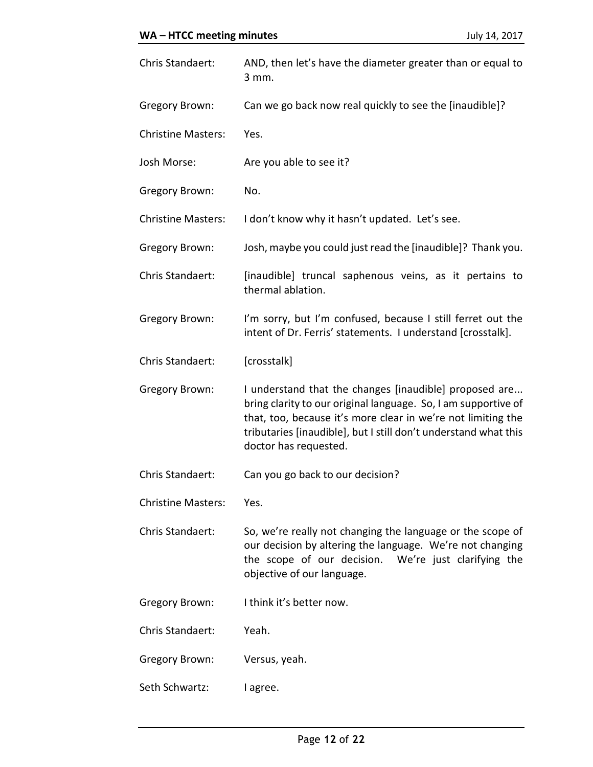| Chris Standaert:          | AND, then let's have the diameter greater than or equal to<br>3 mm.                                                                                                                                                                                                                  |
|---------------------------|--------------------------------------------------------------------------------------------------------------------------------------------------------------------------------------------------------------------------------------------------------------------------------------|
| Gregory Brown:            | Can we go back now real quickly to see the [inaudible]?                                                                                                                                                                                                                              |
| <b>Christine Masters:</b> | Yes.                                                                                                                                                                                                                                                                                 |
| Josh Morse:               | Are you able to see it?                                                                                                                                                                                                                                                              |
| Gregory Brown:            | No.                                                                                                                                                                                                                                                                                  |
| <b>Christine Masters:</b> | I don't know why it hasn't updated. Let's see.                                                                                                                                                                                                                                       |
| Gregory Brown:            | Josh, maybe you could just read the [inaudible]? Thank you.                                                                                                                                                                                                                          |
| Chris Standaert:          | [inaudible] truncal saphenous veins, as it pertains to<br>thermal ablation.                                                                                                                                                                                                          |
| Gregory Brown:            | I'm sorry, but I'm confused, because I still ferret out the<br>intent of Dr. Ferris' statements. I understand [crosstalk].                                                                                                                                                           |
| Chris Standaert:          | [crosstalk]                                                                                                                                                                                                                                                                          |
| Gregory Brown:            | I understand that the changes [inaudible] proposed are<br>bring clarity to our original language. So, I am supportive of<br>that, too, because it's more clear in we're not limiting the<br>tributaries [inaudible], but I still don't understand what this<br>doctor has requested. |
| Chris Standaert:          | Can you go back to our decision?                                                                                                                                                                                                                                                     |
| <b>Christine Masters:</b> | Yes.                                                                                                                                                                                                                                                                                 |
| Chris Standaert:          | So, we're really not changing the language or the scope of<br>our decision by altering the language. We're not changing<br>the scope of our decision. We're just clarifying the<br>objective of our language.                                                                        |
| Gregory Brown:            | I think it's better now.                                                                                                                                                                                                                                                             |
| Chris Standaert:          | Yeah.                                                                                                                                                                                                                                                                                |
| Gregory Brown:            | Versus, yeah.                                                                                                                                                                                                                                                                        |
| Seth Schwartz:            | I agree.                                                                                                                                                                                                                                                                             |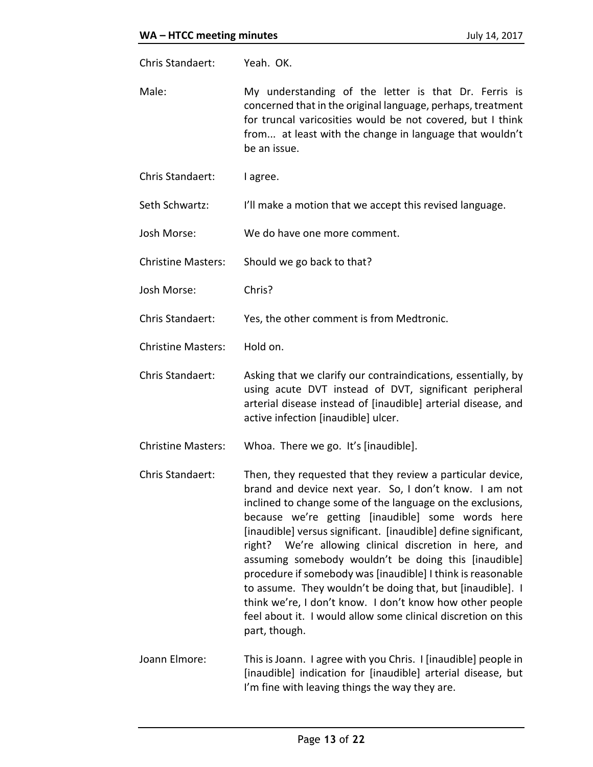| Chris Standaert:          | Yeah. OK.                                                                                                                                                                                                                                                                                                                                                                                                                                                                                                                                                                                                                                                                                               |
|---------------------------|---------------------------------------------------------------------------------------------------------------------------------------------------------------------------------------------------------------------------------------------------------------------------------------------------------------------------------------------------------------------------------------------------------------------------------------------------------------------------------------------------------------------------------------------------------------------------------------------------------------------------------------------------------------------------------------------------------|
| Male:                     | My understanding of the letter is that Dr. Ferris is<br>concerned that in the original language, perhaps, treatment<br>for truncal varicosities would be not covered, but I think<br>from at least with the change in language that wouldn't<br>be an issue.                                                                                                                                                                                                                                                                                                                                                                                                                                            |
| Chris Standaert:          | I agree.                                                                                                                                                                                                                                                                                                                                                                                                                                                                                                                                                                                                                                                                                                |
| Seth Schwartz:            | I'll make a motion that we accept this revised language.                                                                                                                                                                                                                                                                                                                                                                                                                                                                                                                                                                                                                                                |
| Josh Morse:               | We do have one more comment.                                                                                                                                                                                                                                                                                                                                                                                                                                                                                                                                                                                                                                                                            |
| <b>Christine Masters:</b> | Should we go back to that?                                                                                                                                                                                                                                                                                                                                                                                                                                                                                                                                                                                                                                                                              |
| Josh Morse:               | Chris?                                                                                                                                                                                                                                                                                                                                                                                                                                                                                                                                                                                                                                                                                                  |
| Chris Standaert:          | Yes, the other comment is from Medtronic.                                                                                                                                                                                                                                                                                                                                                                                                                                                                                                                                                                                                                                                               |
| <b>Christine Masters:</b> | Hold on.                                                                                                                                                                                                                                                                                                                                                                                                                                                                                                                                                                                                                                                                                                |
| Chris Standaert:          | Asking that we clarify our contraindications, essentially, by<br>using acute DVT instead of DVT, significant peripheral<br>arterial disease instead of [inaudible] arterial disease, and<br>active infection [inaudible] ulcer.                                                                                                                                                                                                                                                                                                                                                                                                                                                                         |
| <b>Christine Masters:</b> | Whoa. There we go. It's [inaudible].                                                                                                                                                                                                                                                                                                                                                                                                                                                                                                                                                                                                                                                                    |
| Chris Standaert:          | Then, they requested that they review a particular device,<br>brand and device next year. So, I don't know. I am not<br>inclined to change some of the language on the exclusions,<br>because we're getting [inaudible] some words here<br>[inaudible] versus significant. [inaudible] define significant,<br>right? We're allowing clinical discretion in here, and<br>assuming somebody wouldn't be doing this [inaudible]<br>procedure if somebody was [inaudible] I think is reasonable<br>to assume. They wouldn't be doing that, but [inaudible]. I<br>think we're, I don't know. I don't know how other people<br>feel about it. I would allow some clinical discretion on this<br>part, though. |
| Joann Elmore:             | This is Joann. I agree with you Chris. I [inaudible] people in                                                                                                                                                                                                                                                                                                                                                                                                                                                                                                                                                                                                                                          |

Joann Elmore: This is Joann. I agree with you Chris. I [inaudible] people in [inaudible] indication for [inaudible] arterial disease, but I'm fine with leaving things the way they are.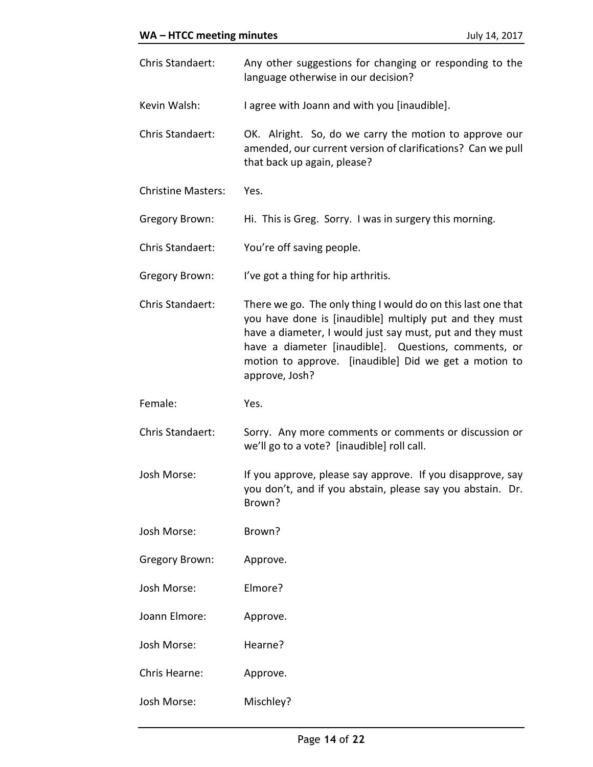| Chris Standaert:          | Any other suggestions for changing or responding to the<br>language otherwise in our decision?                                                                                                                                                                                                                          |
|---------------------------|-------------------------------------------------------------------------------------------------------------------------------------------------------------------------------------------------------------------------------------------------------------------------------------------------------------------------|
| Kevin Walsh:              | I agree with Joann and with you [inaudible].                                                                                                                                                                                                                                                                            |
| Chris Standaert:          | OK. Alright. So, do we carry the motion to approve our<br>amended, our current version of clarifications? Can we pull<br>that back up again, please?                                                                                                                                                                    |
| <b>Christine Masters:</b> | Yes.                                                                                                                                                                                                                                                                                                                    |
| Gregory Brown:            | Hi. This is Greg. Sorry. I was in surgery this morning.                                                                                                                                                                                                                                                                 |
| Chris Standaert:          | You're off saving people.                                                                                                                                                                                                                                                                                               |
| Gregory Brown:            | I've got a thing for hip arthritis.                                                                                                                                                                                                                                                                                     |
| Chris Standaert:          | There we go. The only thing I would do on this last one that<br>you have done is [inaudible] multiply put and they must<br>have a diameter, I would just say must, put and they must<br>have a diameter [inaudible]. Questions, comments, or<br>motion to approve. [inaudible] Did we get a motion to<br>approve, Josh? |
|                           |                                                                                                                                                                                                                                                                                                                         |
| Female:                   | Yes.                                                                                                                                                                                                                                                                                                                    |
| Chris Standaert:          | Sorry. Any more comments or comments or discussion or<br>we'll go to a vote? [inaudible] roll call.                                                                                                                                                                                                                     |
| Josh Morse:               | If you approve, please say approve. If you disapprove, say<br>you don't, and if you abstain, please say you abstain. Dr.<br>Brown?                                                                                                                                                                                      |
| Josh Morse:               | Brown?                                                                                                                                                                                                                                                                                                                  |
| Gregory Brown:            | Approve.                                                                                                                                                                                                                                                                                                                |
| Josh Morse:               | Elmore?                                                                                                                                                                                                                                                                                                                 |
| Joann Elmore:             | Approve.                                                                                                                                                                                                                                                                                                                |
| Josh Morse:               | Hearne?                                                                                                                                                                                                                                                                                                                 |
| Chris Hearne:             | Approve.                                                                                                                                                                                                                                                                                                                |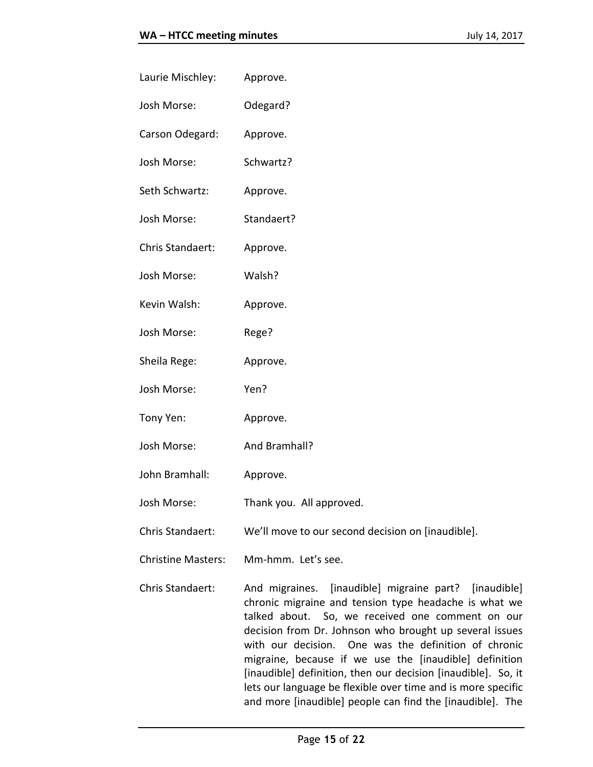| Laurie Mischley: | Approve.                                          |
|------------------|---------------------------------------------------|
| Josh Morse:      | Odegard?                                          |
| Carson Odegard:  | Approve.                                          |
| Josh Morse:      | Schwartz?                                         |
| Seth Schwartz:   | Approve.                                          |
| Josh Morse:      | Standaert?                                        |
| Chris Standaert: | Approve.                                          |
| Josh Morse:      | Walsh?                                            |
| Kevin Walsh:     | Approve.                                          |
| Josh Morse:      | Rege?                                             |
| Sheila Rege:     | Approve.                                          |
| Josh Morse:      | Yen?                                              |
| Tony Yen:        | Approve.                                          |
| Josh Morse:      | And Bramhall?                                     |
| John Bramhall:   | Approve.                                          |
| Josh Morse:      | Thank you. All approved.                          |
| Chris Standaert: | We'll move to our second decision on [inaudible]. |

Christine Masters: Mm-hmm. Let's see.

Chris Standaert: And migraines. [inaudible] migraine part? [inaudible] chronic migraine and tension type headache is what we talked about. So, we received one comment on our decision from Dr. Johnson who brought up several issues with our decision. One was the definition of chronic migraine, because if we use the [inaudible] definition [inaudible] definition, then our decision [inaudible]. So, it lets our language be flexible over time and is more specific and more [inaudible] people can find the [inaudible]. The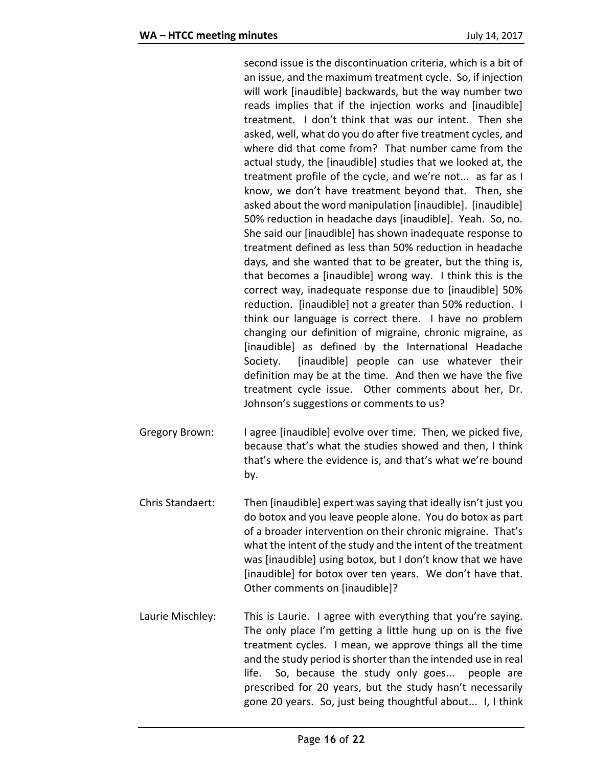second issue is the discontinuation criteria, which is a bit of an issue, and the maximum treatment cycle. So, if injection will work [inaudible] backwards, but the way number two reads implies that if the injection works and [inaudible] treatment. I don't think that was our intent. Then she asked, well, what do you do after five treatment cycles, and where did that come from? That number came from the actual study, the [inaudible] studies that we looked at, the treatment profile of the cycle, and we're not... as far as I know, we don't have treatment beyond that. Then, she asked about the word manipulation [inaudible]. [inaudible] 50% reduction in headache days [inaudible]. Yeah. So, no. She said our [inaudible] has shown inadequate response to treatment defined as less than 50% reduction in headache days, and she wanted that to be greater, but the thing is, that becomes a [inaudible] wrong way. I think this is the correct way, inadequate response due to [inaudible] 50% reduction. [inaudible] not a greater than 50% reduction. I think our language is correct there. I have no problem changing our definition of migraine, chronic migraine, as [inaudible] as defined by the International Headache Society. [inaudible] people can use whatever their definition may be at the time. And then we have the five treatment cycle issue. Other comments about her, Dr. Johnson's suggestions or comments to us?

- Gregory Brown: I agree [inaudible] evolve over time. Then, we picked five, because that's what the studies showed and then, I think that's where the evidence is, and that's what we're bound by.
- Chris Standaert: Then [inaudible] expert was saying that ideally isn't just you do botox and you leave people alone. You do botox as part of a broader intervention on their chronic migraine. That's what the intent of the study and the intent of the treatment was [inaudible] using botox, but I don't know that we have [inaudible] for botox over ten years. We don't have that. Other comments on [inaudible]?
- Laurie Mischley: This is Laurie. I agree with everything that you're saying. The only place I'm getting a little hung up on is the five treatment cycles. I mean, we approve things all the time and the study period is shorter than the intended use in real life. So, because the study only goes... people are prescribed for 20 years, but the study hasn't necessarily gone 20 years. So, just being thoughtful about... I, I think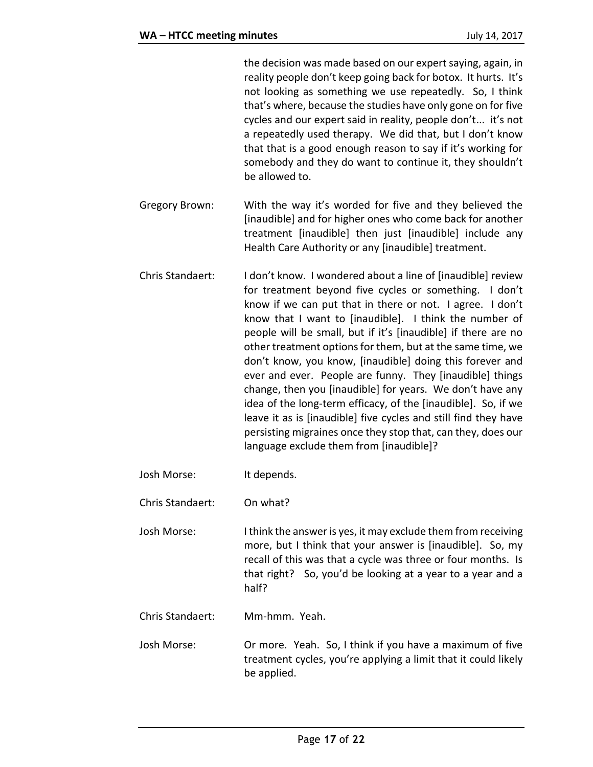the decision was made based on our expert saying, again, in reality people don't keep going back for botox. It hurts. It's not looking as something we use repeatedly. So, I think that's where, because the studies have only gone on for five cycles and our expert said in reality, people don't... it's not a repeatedly used therapy. We did that, but I don't know that that is a good enough reason to say if it's working for somebody and they do want to continue it, they shouldn't be allowed to.

Gregory Brown: With the way it's worded for five and they believed the [inaudible] and for higher ones who come back for another treatment [inaudible] then just [inaudible] include any Health Care Authority or any [inaudible] treatment.

- Chris Standaert: I don't know. I wondered about a line of [inaudible] review for treatment beyond five cycles or something. I don't know if we can put that in there or not. I agree. I don't know that I want to [inaudible]. I think the number of people will be small, but if it's [inaudible] if there are no other treatment options for them, but at the same time, we don't know, you know, [inaudible] doing this forever and ever and ever. People are funny. They [inaudible] things change, then you [inaudible] for years. We don't have any idea of the long-term efficacy, of the [inaudible]. So, if we leave it as is [inaudible] five cycles and still find they have persisting migraines once they stop that, can they, does our language exclude them from [inaudible]?
- Josh Morse: It depends.

Chris Standaert: On what?

- Josh Morse: I think the answer is yes, it may exclude them from receiving more, but I think that your answer is [inaudible]. So, my recall of this was that a cycle was three or four months. Is that right? So, you'd be looking at a year to a year and a half?
- Chris Standaert: Mm-hmm. Yeah.
- Josh Morse: Or more. Yeah. So, I think if you have a maximum of five treatment cycles, you're applying a limit that it could likely be applied.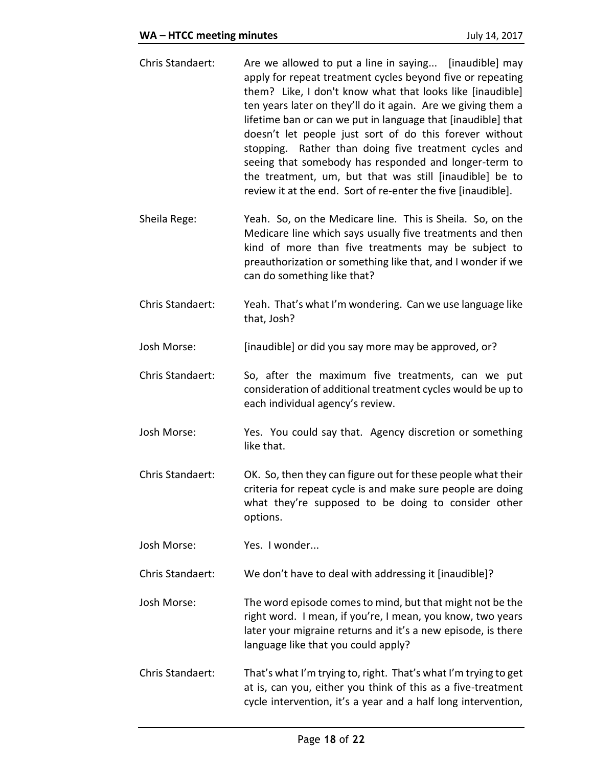- Chris Standaert: Are we allowed to put a line in saying... [inaudible] may apply for repeat treatment cycles beyond five or repeating them? Like, I don't know what that looks like [inaudible] ten years later on they'll do it again. Are we giving them a lifetime ban or can we put in language that [inaudible] that doesn't let people just sort of do this forever without stopping. Rather than doing five treatment cycles and seeing that somebody has responded and longer-term to the treatment, um, but that was still [inaudible] be to review it at the end. Sort of re-enter the five [inaudible].
- Sheila Rege: Yeah. So, on the Medicare line. This is Sheila. So, on the Medicare line which says usually five treatments and then kind of more than five treatments may be subject to preauthorization or something like that, and I wonder if we can do something like that?
- Chris Standaert: Yeah. That's what I'm wondering. Can we use language like that, Josh?
- Josh Morse: [inaudible] or did you say more may be approved, or?
- Chris Standaert: So, after the maximum five treatments, can we put consideration of additional treatment cycles would be up to each individual agency's review.
- Josh Morse: Yes. You could say that. Agency discretion or something like that.
- Chris Standaert: OK. So, then they can figure out for these people what their criteria for repeat cycle is and make sure people are doing what they're supposed to be doing to consider other options.

Josh Morse: Yes. I wonder...

Chris Standaert: We don't have to deal with addressing it [inaudible]?

Josh Morse: The word episode comes to mind, but that might not be the right word. I mean, if you're, I mean, you know, two years later your migraine returns and it's a new episode, is there language like that you could apply?

Chris Standaert: That's what I'm trying to, right. That's what I'm trying to get at is, can you, either you think of this as a five-treatment cycle intervention, it's a year and a half long intervention,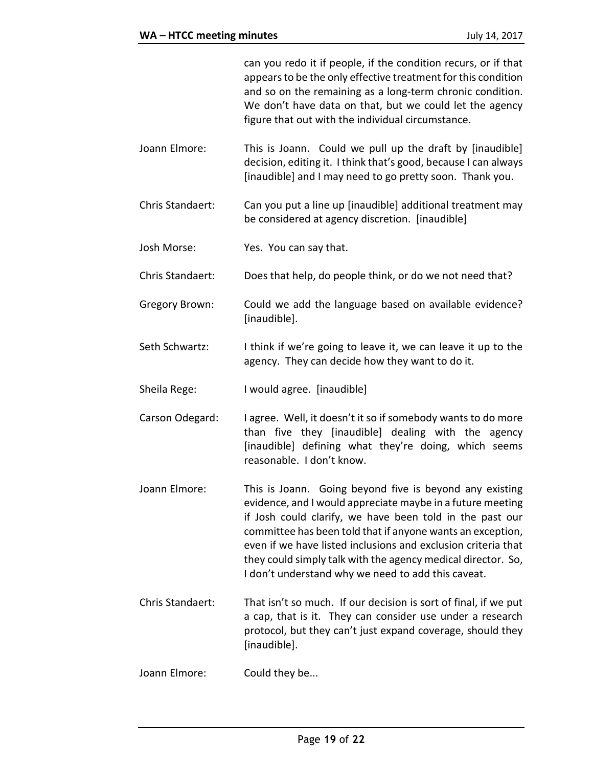can you redo it if people, if the condition recurs, or if that appears to be the only effective treatment for this condition and so on the remaining as a long-term chronic condition. We don't have data on that, but we could let the agency figure that out with the individual circumstance.

- Joann Elmore: This is Joann. Could we pull up the draft by [inaudible] decision, editing it. I think that's good, because I can always [inaudible] and I may need to go pretty soon. Thank you.
- Chris Standaert: Can you put a line up [inaudible] additional treatment may be considered at agency discretion. [inaudible]
- Josh Morse: Yes. You can say that.
- Chris Standaert: Does that help, do people think, or do we not need that?
- Gregory Brown: Could we add the language based on available evidence? [inaudible].
- Seth Schwartz: I think if we're going to leave it, we can leave it up to the agency. They can decide how they want to do it.
- Sheila Rege: I would agree. [inaudible]

Carson Odegard: I agree. Well, it doesn't it so if somebody wants to do more than five they [inaudible] dealing with the agency [inaudible] defining what they're doing, which seems reasonable. I don't know.

- Joann Elmore: This is Joann. Going beyond five is beyond any existing evidence, and I would appreciate maybe in a future meeting if Josh could clarify, we have been told in the past our committee has been told that if anyone wants an exception, even if we have listed inclusions and exclusion criteria that they could simply talk with the agency medical director. So, I don't understand why we need to add this caveat.
- Chris Standaert: That isn't so much. If our decision is sort of final, if we put a cap, that is it. They can consider use under a research protocol, but they can't just expand coverage, should they [inaudible].
- Joann Elmore: Could they be...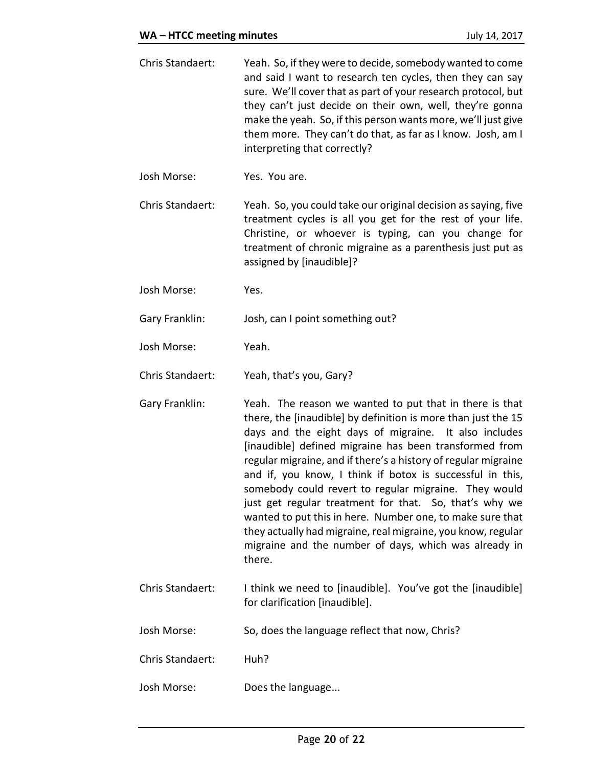- Chris Standaert: Yeah. So, if they were to decide, somebody wanted to come and said I want to research ten cycles, then they can say sure. We'll cover that as part of your research protocol, but they can't just decide on their own, well, they're gonna make the yeah. So, if this person wants more, we'll just give them more. They can't do that, as far as I know. Josh, am I interpreting that correctly?
- Josh Morse: Yes. You are.
- Chris Standaert: Yeah. So, you could take our original decision as saying, five treatment cycles is all you get for the rest of your life. Christine, or whoever is typing, can you change for treatment of chronic migraine as a parenthesis just put as assigned by [inaudible]?
- Josh Morse: Yes.
- Gary Franklin: Josh, can I point something out?
- Josh Morse: Yeah.

Chris Standaert: Yeah, that's you, Gary?

- Gary Franklin: Yeah. The reason we wanted to put that in there is that there, the [inaudible] by definition is more than just the 15 days and the eight days of migraine. It also includes [inaudible] defined migraine has been transformed from regular migraine, and if there's a history of regular migraine and if, you know, I think if botox is successful in this, somebody could revert to regular migraine. They would just get regular treatment for that. So, that's why we wanted to put this in here. Number one, to make sure that they actually had migraine, real migraine, you know, regular migraine and the number of days, which was already in there.
- Chris Standaert: I think we need to [inaudible]. You've got the [inaudible] for clarification [inaudible].
- Josh Morse: So, does the language reflect that now, Chris?
- Chris Standaert: Huh?
- Josh Morse: Does the language...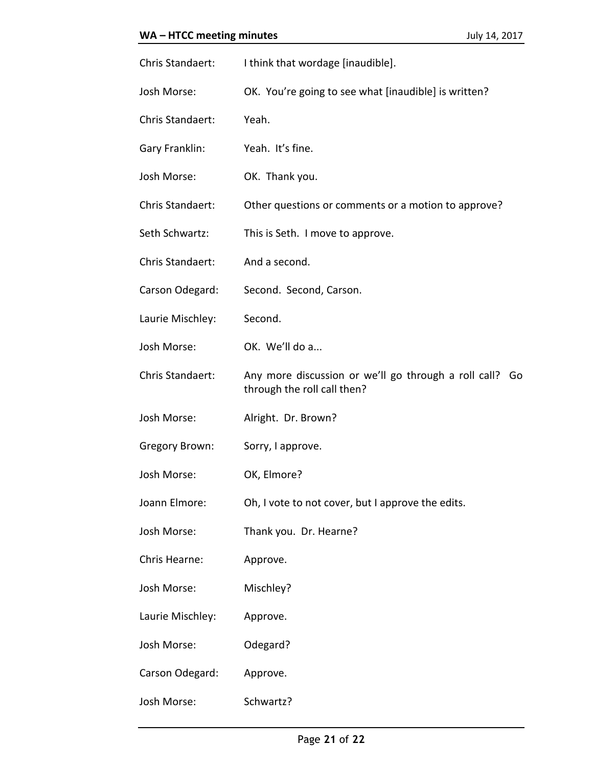| Chris Standaert:      | I think that wordage [inaudible].                                                         |
|-----------------------|-------------------------------------------------------------------------------------------|
| Josh Morse:           | OK. You're going to see what [inaudible] is written?                                      |
| Chris Standaert:      | Yeah.                                                                                     |
| Gary Franklin:        | Yeah. It's fine.                                                                          |
| Josh Morse:           | OK. Thank you.                                                                            |
| Chris Standaert:      | Other questions or comments or a motion to approve?                                       |
| Seth Schwartz:        | This is Seth. I move to approve.                                                          |
| Chris Standaert:      | And a second.                                                                             |
| Carson Odegard:       | Second. Second, Carson.                                                                   |
| Laurie Mischley:      | Second.                                                                                   |
| Josh Morse:           | OK. We'll do a                                                                            |
| Chris Standaert:      | Any more discussion or we'll go through a roll call?<br>Go<br>through the roll call then? |
| Josh Morse:           | Alright. Dr. Brown?                                                                       |
| <b>Gregory Brown:</b> | Sorry, I approve.                                                                         |
| Josh Morse:           | OK, Elmore?                                                                               |
| Joann Elmore:         | Oh, I vote to not cover, but I approve the edits.                                         |
| Josh Morse:           | Thank you. Dr. Hearne?                                                                    |
| Chris Hearne:         | Approve.                                                                                  |
| Josh Morse:           | Mischley?                                                                                 |
| Laurie Mischley:      | Approve.                                                                                  |
| Josh Morse:           | Odegard?                                                                                  |
| Carson Odegard:       | Approve.                                                                                  |
| Josh Morse:           | Schwartz?                                                                                 |